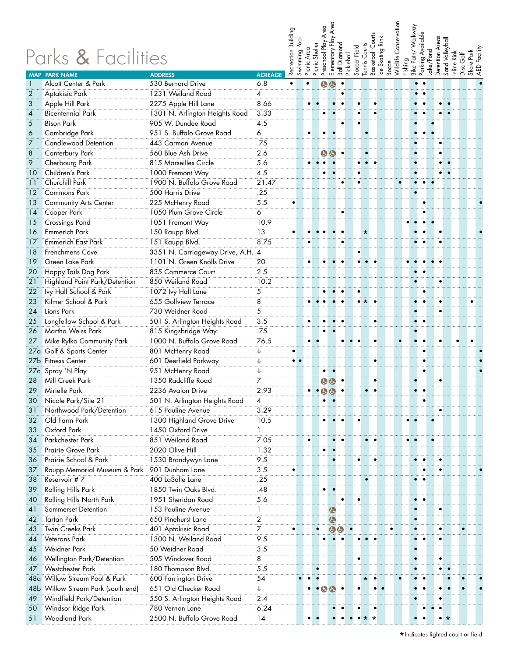|                | Parks & Facilities                          |                                                      |                | Recreation Building | Swimming Pool      | Picnic Area | Preschool Play<br>Shelter<br>Picnic | Area<br>Elementary Play       | Diamond<br>$B$ all    | Soccer Field<br>Pickleball | Tennis Courts          | ce Skating Rink<br>Basketball Co | Bocce     | Conservation<br>Wildlife o | Fishing<br>Bike Path/ Walkway | Parking Available | Lake/Pond | Detention Areas<br>Sand Volleyball | Inline Rink<br>Disc Golf | Skate Park<br>AED Facility |
|----------------|---------------------------------------------|------------------------------------------------------|----------------|---------------------|--------------------|-------------|-------------------------------------|-------------------------------|-----------------------|----------------------------|------------------------|----------------------------------|-----------|----------------------------|-------------------------------|-------------------|-----------|------------------------------------|--------------------------|----------------------------|
|                | <b>MAP PARK NAME</b>                        | <b>ADDRESS</b>                                       | <b>ACREAGE</b> |                     |                    |             |                                     |                               |                       |                            |                        |                                  |           |                            |                               | $\bullet$         |           |                                    |                          |                            |
|                | Alcott Center & Park                        | 530 Bernard Drive<br>1231 Weiland Road               | 6.8            | $\bullet$           |                    |             |                                     | A                             |                       |                            |                        |                                  |           |                            |                               | $\bullet$         |           |                                    |                          |                            |
| $\overline{2}$ | Aptakisic Park                              |                                                      | 4              |                     |                    |             |                                     |                               |                       |                            |                        |                                  |           |                            |                               |                   |           |                                    |                          |                            |
| 3              | Apple Hill Park<br><b>Bicentennial Park</b> | 2275 Apple Hill Lane                                 | 8.66           |                     |                    | ٠           |                                     |                               |                       |                            | ٠                      |                                  |           |                            |                               |                   |           |                                    |                          |                            |
| 4              | <b>Bison Park</b>                           | 1301 N. Arlington Heights Road<br>905 W. Dundee Road | 3.33<br>4.5    |                     |                    |             |                                     |                               |                       | ٠                          |                        |                                  |           |                            |                               |                   |           |                                    |                          |                            |
| 5<br>6         | <b>Cambridge Park</b>                       | 951 S. Buffalo Grove Road                            | 6              |                     |                    |             |                                     |                               |                       |                            |                        |                                  |           |                            |                               |                   |           |                                    |                          |                            |
| $\overline{7}$ | <b>Candlewood Detention</b>                 | 443 Carman Avenue                                    | .75            |                     |                    |             |                                     |                               |                       |                            |                        |                                  |           |                            |                               |                   |           |                                    |                          |                            |
| 8              | Canterbury Park                             | 560 Blue Ash Drive                                   | 2.6            |                     |                    |             |                                     | $\bigoplus$<br>$\mathbf{d}$   |                       |                            |                        |                                  |           |                            |                               |                   |           | $\bullet$                          |                          |                            |
| 9              | Cherbourg Park                              | 815 Marseilles Circle                                | 5.6            |                     |                    |             |                                     |                               |                       |                            | $\bullet$<br>$\bullet$ | $\bullet$                        |           |                            |                               |                   |           | $\bullet$                          |                          |                            |
| 10             | Children's Park                             | 1000 Fremont Way                                     | 4.5            |                     |                    |             |                                     |                               |                       |                            | $\bullet$              |                                  |           |                            |                               |                   |           | ٠<br>$\bullet$                     |                          |                            |
| 11             | Churchill Park                              | 1900 N. Buffalo Grove Road                           | 21.47          |                     |                    |             |                                     |                               |                       |                            | $\bullet$              |                                  |           |                            |                               | $\bullet$         |           |                                    |                          |                            |
| 12             | Commons Park                                | 500 Harris Drive                                     | .25            |                     |                    |             |                                     |                               |                       |                            |                        |                                  |           |                            |                               |                   |           |                                    |                          |                            |
| 13             | <b>Community Arts Center</b>                | 225 McHenry Road                                     | 5.5            |                     |                    |             |                                     |                               |                       |                            |                        |                                  |           |                            |                               |                   |           |                                    |                          |                            |
| 14             | Cooper Park                                 | 1050 Plum Grove Circle                               | 6              |                     |                    |             |                                     |                               |                       |                            |                        |                                  |           |                            |                               |                   |           |                                    |                          |                            |
| 15             | <b>Crossings Pond</b>                       | 1051 Fremont Way                                     | 10.9           |                     |                    |             |                                     |                               |                       |                            |                        |                                  |           |                            |                               |                   |           |                                    |                          |                            |
| 16             | <b>Emmerich Park</b>                        | 150 Raupp Blvd.                                      | 13             |                     |                    |             |                                     |                               |                       |                            | $\star$                |                                  |           |                            |                               |                   |           |                                    |                          |                            |
| 17             | <b>Emmerich East Park</b>                   | 151 Raupp Blvd.                                      | 8.75           |                     |                    |             |                                     |                               |                       |                            |                        |                                  |           |                            |                               |                   |           |                                    |                          |                            |
| 18             | Frenchmens Cove                             | 3351 N. Carriageway Drive, A.H. 4                    |                |                     |                    |             |                                     |                               |                       |                            |                        |                                  |           |                            |                               |                   |           |                                    |                          |                            |
| 19             | Green Lake Park                             | 1101 N. Green Knolls Drive                           | 20             |                     |                    |             |                                     |                               |                       |                            |                        |                                  |           |                            |                               |                   |           |                                    |                          |                            |
| 20             | Happy Tails Dog Park                        | 835 Commerce Court                                   | 2.5            |                     |                    |             |                                     |                               |                       |                            |                        |                                  |           |                            |                               |                   |           |                                    |                          |                            |
| 21             | Highland Point Park/Detention               | 850 Weiland Road                                     | 10.2           |                     |                    |             |                                     |                               |                       |                            |                        |                                  |           |                            |                               |                   |           | $\bullet$                          |                          |                            |
| 22             | Ivy Hall School & Park                      | 1072 lvy Hall Lane                                   | $\overline{5}$ |                     |                    |             |                                     |                               |                       |                            | ٠                      |                                  |           |                            |                               | ٠                 |           |                                    |                          |                            |
| 23             | Kilmer School & Park                        | 655 Golfview Terrace                                 | $\overline{8}$ |                     |                    |             |                                     |                               |                       |                            | $\bullet\star$         | ٠                                |           |                            |                               | ٠                 |           | $\bullet$                          |                          |                            |
| 24             | Lions Park                                  | 730 Weidner Road                                     | $\overline{5}$ |                     |                    |             |                                     |                               |                       |                            |                        |                                  |           |                            |                               |                   |           | $\bullet$                          |                          |                            |
| 25             | Longfellow School & Park                    | 501 S. Arlington Heights Road                        | 3.5            |                     |                    | ٠           |                                     |                               |                       |                            |                        | ٠                                |           |                            | $\bullet$                     | $\bullet$         |           |                                    |                          |                            |
| 26             | Martha Weiss Park                           | 815 Kingsbridge Way                                  | .75            |                     |                    |             |                                     |                               |                       |                            |                        |                                  |           |                            |                               |                   |           |                                    |                          |                            |
| 27             | Mike Rylko Community Park                   | 1000 N. Buffalo Grove Road                           | 76.5           |                     |                    | ٠           |                                     |                               |                       |                            |                        | ٠                                |           |                            |                               |                   |           |                                    |                          |                            |
|                | 27a Golf & Sports Center                    | 801 McHenry Road                                     |                |                     |                    |             |                                     |                               |                       |                            |                        |                                  |           |                            |                               | ٠                 |           |                                    |                          |                            |
|                | 27b Fitness Center                          | 601 Deerfield Parkway                                |                |                     | $\bullet\;\bullet$ |             |                                     |                               |                       |                            |                        | $\bullet$                        |           |                            |                               | ٠                 |           |                                    |                          |                            |
|                | 27c Spray 'N Play                           | 951 McHenry Road                                     |                |                     |                    |             |                                     |                               |                       |                            |                        |                                  |           |                            |                               | ٠                 |           |                                    |                          |                            |
| 28             | <b>Mill Creek Park</b>                      | 1350 Radcliffe Road                                  | 7              |                     |                    |             |                                     | 白白                            |                       |                            |                        |                                  |           |                            |                               |                   |           |                                    |                          |                            |
| 29             | <b>Mirielle Park</b>                        | 2236 Avalon Drive                                    | 2.93           |                     |                    |             |                                     |                               |                       |                            |                        | ٠                                |           |                            |                               | $\bullet$         |           |                                    |                          |                            |
| 30             | Nicole Park/Site 21                         | 501 N. Arlington Heights Road                        | 4              |                     |                    |             |                                     |                               |                       |                            |                        |                                  |           |                            |                               | $\bullet$         |           |                                    |                          |                            |
| 31             | Northwood Park/Detention                    | 615 Pauline Avenue                                   | 3.29           |                     |                    |             |                                     |                               |                       |                            |                        |                                  |           |                            |                               |                   |           | $\bullet$                          |                          |                            |
| 32             | Old Farm Park                               | 1300 Highland Grove Drive                            | 10.5           |                     |                    |             |                                     | $\bullet$                     |                       |                            |                        |                                  |           |                            | $\bullet\quad$                |                   | $\bullet$ |                                    |                          |                            |
| 33             | Oxford Park                                 | 1450 Oxford Drive                                    | 1              |                     |                    |             |                                     |                               |                       |                            |                        |                                  |           |                            |                               |                   |           |                                    |                          |                            |
| 34             | Parkchester Park                            | 851 Weiland Road                                     | 7.05           |                     |                    | ٠           |                                     |                               |                       |                            |                        | $\bullet\quad\bullet$            |           |                            | ٠                             |                   | $\bullet$ |                                    |                          |                            |
| 35             | Prairie Grove Park                          | 2020 Olive Hill                                      | 1.32           |                     |                    |             |                                     | ٠                             |                       |                            |                        |                                  |           |                            |                               |                   |           |                                    |                          |                            |
| 36             | Prairie School & Park                       | 1530 Brandywyn Lane                                  | 9.5            |                     |                    |             |                                     |                               |                       |                            | ٠                      |                                  |           |                            |                               |                   |           |                                    |                          |                            |
| 37             | Raupp Memorial Museum & Park                | 901 Dunham Lane                                      | 3.5            |                     |                    |             |                                     |                               |                       |                            |                        |                                  |           |                            |                               |                   |           |                                    |                          |                            |
| 38             | Reservoir #7                                | 400 LaSalle Lane                                     | .25            |                     |                    |             |                                     |                               |                       |                            |                        |                                  |           |                            | $\bullet$                     |                   |           |                                    |                          |                            |
| 39             | <b>Rolling Hills Park</b>                   | 1850 Twin Oaks Blvd.                                 | .48            |                     |                    |             |                                     | $\bullet$                     |                       |                            |                        |                                  |           |                            |                               |                   |           |                                    |                          |                            |
| 40             | Rolling Hills North Park                    | 1951 Sheridan Road                                   | 5.6            |                     |                    |             |                                     |                               |                       |                            |                        |                                  |           |                            |                               |                   |           |                                    |                          |                            |
| 41             | Sommerset Detention                         | 153 Pauline Avenue                                   | 1              |                     |                    |             |                                     | $\bigcirc$                    |                       |                            |                        |                                  |           |                            |                               |                   |           |                                    |                          |                            |
| 42             | <b>Tartan Park</b>                          | 650 Pinehurst Lane                                   | $\overline{2}$ |                     |                    |             |                                     | $\bullet$                     |                       |                            |                        |                                  |           |                            |                               |                   |           |                                    |                          |                            |
| 43             | Twin Creeks Park                            | 401 Aptakisic Road                                   | $\overline{7}$ |                     |                    |             |                                     |                               | G                     |                            |                        |                                  | $\bullet$ |                            |                               |                   |           | $\bullet$                          |                          |                            |
| 44             | Veterans Park                               | 1300 N. Weiland Road                                 | 9.5            |                     |                    |             |                                     | ٠                             | $\bullet\quad\bullet$ |                            | $\bullet$<br>$\bullet$ | $\bullet$                        |           |                            | $\bullet$                     | $\bullet$         |           | $\bullet$                          |                          |                            |
| 45             | <b>Weidner Park</b>                         | 50 Weidner Road                                      | 3.5            |                     |                    |             |                                     |                               |                       |                            |                        |                                  |           |                            |                               |                   |           |                                    |                          |                            |
| 46             | Wellington Park/Detention                   | 505 Windover Road                                    | $\overline{8}$ |                     |                    |             |                                     |                               |                       | $\bullet$                  |                        |                                  |           |                            |                               |                   |           | ٠                                  |                          |                            |
| 47             | <b>Westchester Park</b>                     | 180 Thompson Blvd.                                   | 5.5            |                     |                    |             |                                     |                               |                       |                            |                        |                                  |           |                            |                               |                   |           | ٠                                  |                          |                            |
|                | 48a Willow Stream Pool & Park               | 600 Farrington Drive                                 | 54             |                     |                    | ٠           |                                     |                               |                       |                            | *                      |                                  |           |                            |                               |                   |           |                                    |                          |                            |
|                | 48b Willow Stream Park (south end)          | 651 Old Checker Road                                 | ↓              |                     |                    |             |                                     | $\bullet$ $\bullet$ $\bullet$ |                       |                            | ٠                      | $\bullet\quad \bullet$           |           |                            |                               |                   |           | ٠                                  |                          |                            |
| 49             | Windfield Park/Detention                    | 550 S. Arlington Heights Road                        | 2.4            |                     |                    |             |                                     |                               |                       |                            |                        |                                  |           |                            |                               |                   |           |                                    |                          |                            |
| 50             | Windsor Ridge Park                          | 780 Vernon Lane                                      | 6.24           |                     |                    |             |                                     |                               |                       |                            |                        | ٠                                |           |                            |                               | ٠                 |           |                                    |                          |                            |
| 51             | Woodland Park                               | 2500 N. Buffalo Grove Road                           | 14             |                     |                    |             |                                     |                               |                       |                            | $\star$ $\star$<br>٠   |                                  |           |                            |                               |                   |           | $\bullet$ $\star$                  |                          |                            |
|                |                                             |                                                      |                |                     |                    |             |                                     |                               |                       |                            |                        |                                  |           |                            |                               |                   |           |                                    |                          |                            |